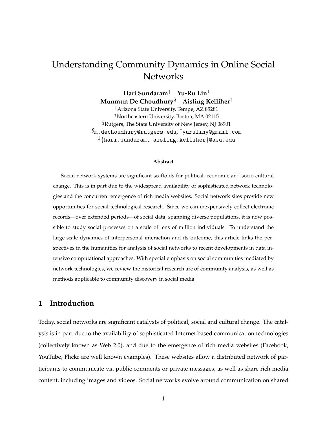# Understanding Community Dynamics in Online Social **Networks**

**Hari Sundaram**‡ **Yu-Ru Lin**† **Munmun De Choudhury**§ **Aisling Kelliher**‡

‡Arizona State University, Tempe, AZ 85281 †Northeastern University, Boston, MA 02115 §Rutgers, The State University of New Jersey, NJ 08901  $\S$ m.dechoudhury@rutgers.edu, $^\dagger$ yuruliny@gmail.com ‡{hari.sundaram, aisling.kelliher}@asu.edu

#### **Abstract**

Social network systems are significant scaffolds for political, economic and socio-cultural change. This is in part due to the widespread availability of sophisticated network technologies and the concurrent emergence of rich media websites. Social network sites provide new opportunities for social-technological research. Since we can inexpensively collect electronic records—over extended periods—of social data, spanning diverse populations, it is now possible to study social processes on a scale of tens of million individuals. To understand the large-scale dynamics of interpersonal interaction and its outcome, this article links the perspectives in the humanities for analysis of social networks to recent developments in data intensive computational approaches. With special emphasis on social communities mediated by network technologies, we review the historical research arc of community analysis, as well as methods applicable to community discovery in social media.

# **1 Introduction**

Today, social networks are significant catalysts of political, social and cultural change. The catalysis is in part due to the availability of sophisticated Internet based communication technologies (collectively known as Web 2.0), and due to the emergence of rich media websites (Facebook, YouTube, Flickr are well known examples). These websites allow a distributed network of participants to communicate via public comments or private messages, as well as share rich media content, including images and videos. Social networks evolve around communication on shared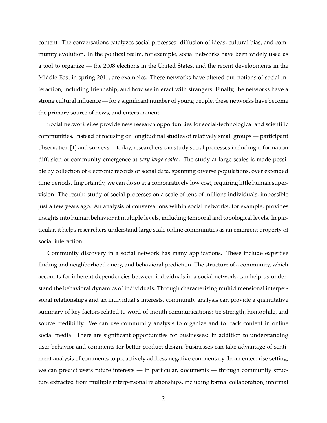content. The conversations catalyzes social processes: diffusion of ideas, cultural bias, and community evolution. In the political realm, for example, social networks have been widely used as a tool to organize — the 2008 elections in the United States, and the recent developments in the Middle-East in spring 2011, are examples. These networks have altered our notions of social interaction, including friendship, and how we interact with strangers. Finally, the networks have a strong cultural influence — for a significant number of young people, these networks have become the primary source of news, and entertainment.

Social network sites provide new research opportunities for social-technological and scientific communities. Instead of focusing on longitudinal studies of relatively small groups — participant observation [1] and surveys— today, researchers can study social processes including information diffusion or community emergence at *very large scales*. The study at large scales is made possible by collection of electronic records of social data, spanning diverse populations, over extended time periods. Importantly, we can do so at a comparatively low cost, requiring little human supervision. The result: study of social processes on a scale of tens of millions individuals, impossible just a few years ago. An analysis of conversations within social networks, for example, provides insights into human behavior at multiple levels, including temporal and topological levels. In particular, it helps researchers understand large scale online communities as an emergent property of social interaction.

Community discovery in a social network has many applications. These include expertise finding and neighborhood query, and behavioral prediction. The structure of a community, which accounts for inherent dependencies between individuals in a social network, can help us understand the behavioral dynamics of individuals. Through characterizing multidimensional interpersonal relationships and an individual's interests, community analysis can provide a quantitative summary of key factors related to word-of-mouth communications: tie strength, homophile, and source credibility. We can use community analysis to organize and to track content in online social media. There are significant opportunities for businesses: in addition to understanding user behavior and comments for better product design, businesses can take advantage of sentiment analysis of comments to proactively address negative commentary. In an enterprise setting, we can predict users future interests — in particular, documents — through community structure extracted from multiple interpersonal relationships, including formal collaboration, informal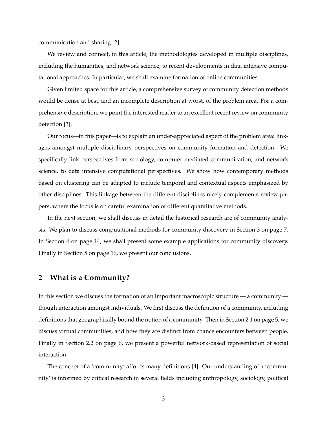communication and sharing [2].

We review and connect, in this article, the methodologies developed in multiple disciplines, including the humanities, and network science, to recent developments in data intensive computational approaches. In particular, we shall examine formation of online communities.

Given limited space for this article, a comprehensive survey of community detection methods would be dense at best, and an incomplete description at worst, of the problem area. For a comprehensive description, we point the interested reader to an excellent recent review on community detection [3].

Our focus—in this paper—is to explain an under-appreciated aspect of the problem area: linkages amongst multiple disciplinary perspectives on community formation and detection. We specifically link perspectives from sociology, computer mediated communication, and network science, to data intensive computational perspectives. We show how contemporary methods based on clustering can be adapted to include temporal and contextual aspects emphasized by other disciplines. This linkage between the different disciplines nicely complements review papers, where the focus is on careful examination of different quantitative methods.

In the next section, we shall discuss in detail the historical research arc of community analysis. We plan to discuss computational methods for community discovery in Section 3 on page 7. In Section 4 on page 14, we shall present some example applications for community discovery. Finally in Section 5 on page 16, we present our conclusions.

# **2 What is a Community?**

In this section we discuss the formation of an important macroscopic structure — a community though interaction amongst individuals. We first discuss the definition of a community, including definitions that geographically bound the notion of a community. Then in Section 2.1 on page 5, we discuss virtual communities, and how they are distinct from chance encounters between people. Finally in Section 2.2 on page 6, we present a powerful network-based representation of social interaction.

The concept of a 'community' affords many definitions [4]. Our understanding of a 'community' is informed by critical research in several fields including anthropology, sociology, political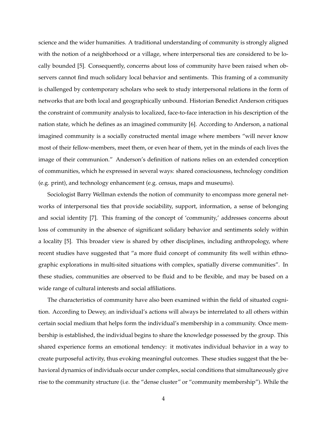science and the wider humanities. A traditional understanding of community is strongly aligned with the notion of a neighborhood or a village, where interpersonal ties are considered to be locally bounded [5]. Consequently, concerns about loss of community have been raised when observers cannot find much solidary local behavior and sentiments. This framing of a community is challenged by contemporary scholars who seek to study interpersonal relations in the form of networks that are both local and geographically unbound. Historian Benedict Anderson critiques the constraint of community analysis to localized, face-to-face interaction in his description of the nation state, which he defines as an imagined community [6]. According to Anderson, a national imagined community is a socially constructed mental image where members "will never know most of their fellow-members, meet them, or even hear of them, yet in the minds of each lives the image of their communion." Anderson's definition of nations relies on an extended conception of communities, which he expressed in several ways: shared consciousness, technology condition (e.g. print), and technology enhancement (e.g. census, maps and museums).

Sociologist Barry Wellman extends the notion of community to encompass more general networks of interpersonal ties that provide sociability, support, information, a sense of belonging and social identity [7]. This framing of the concept of 'community,' addresses concerns about loss of community in the absence of significant solidary behavior and sentiments solely within a locality [5]. This broader view is shared by other disciplines, including anthropology, where recent studies have suggested that "a more fluid concept of community fits well within ethnographic explorations in multi-sited situations with complex, spatially diverse communities". In these studies, communities are observed to be fluid and to be flexible, and may be based on a wide range of cultural interests and social affiliations.

The characteristics of community have also been examined within the field of situated cognition. According to Dewey, an individual's actions will always be interrelated to all others within certain social medium that helps form the individual's membership in a community. Once membership is established, the individual begins to share the knowledge possessed by the group. This shared experience forms an emotional tendency: it motivates individual behavior in a way to create purposeful activity, thus evoking meaningful outcomes. These studies suggest that the behavioral dynamics of individuals occur under complex, social conditions that simultaneously give rise to the community structure (i.e. the "dense cluster" or "community membership"). While the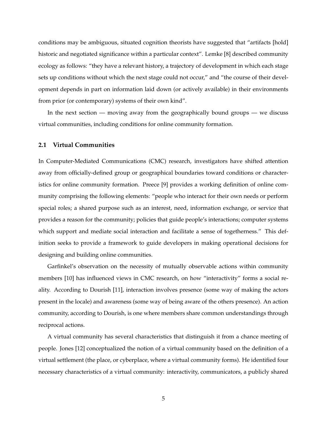conditions may be ambiguous, situated cognition theorists have suggested that "artifacts [hold] historic and negotiated significance within a particular context". Lemke [8] described community ecology as follows: "they have a relevant history, a trajectory of development in which each stage sets up conditions without which the next stage could not occur," and "the course of their development depends in part on information laid down (or actively available) in their environments from prior (or contemporary) systems of their own kind".

In the next section — moving away from the geographically bound groups — we discuss virtual communities, including conditions for online community formation.

### **2.1 Virtual Communities**

In Computer-Mediated Communications (CMC) research, investigators have shifted attention away from officially-defined group or geographical boundaries toward conditions or characteristics for online community formation. Preece [9] provides a working definition of online community comprising the following elements: "people who interact for their own needs or perform special roles; a shared purpose such as an interest, need, information exchange, or service that provides a reason for the community; policies that guide people's interactions; computer systems which support and mediate social interaction and facilitate a sense of togetherness." This definition seeks to provide a framework to guide developers in making operational decisions for designing and building online communities.

Garfinkel's observation on the necessity of mutually observable actions within community members [10] has influenced views in CMC research, on how "interactivity" forms a social reality. According to Dourish [11], interaction involves presence (some way of making the actors present in the locale) and awareness (some way of being aware of the others presence). An action community, according to Dourish, is one where members share common understandings through reciprocal actions.

A virtual community has several characteristics that distinguish it from a chance meeting of people. Jones [12] conceptualized the notion of a virtual community based on the definition of a virtual settlement (the place, or cyberplace, where a virtual community forms). He identified four necessary characteristics of a virtual community: interactivity, communicators, a publicly shared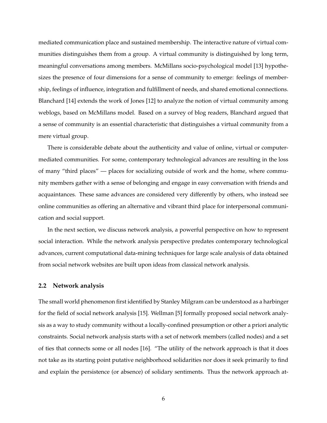mediated communication place and sustained membership. The interactive nature of virtual communities distinguishes them from a group. A virtual community is distinguished by long term, meaningful conversations among members. McMillans socio-psychological model [13] hypothesizes the presence of four dimensions for a sense of community to emerge: feelings of membership, feelings of influence, integration and fulfillment of needs, and shared emotional connections. Blanchard [14] extends the work of Jones [12] to analyze the notion of virtual community among weblogs, based on McMillans model. Based on a survey of blog readers, Blanchard argued that a sense of community is an essential characteristic that distinguishes a virtual community from a mere virtual group.

There is considerable debate about the authenticity and value of online, virtual or computermediated communities. For some, contemporary technological advances are resulting in the loss of many "third places" — places for socializing outside of work and the home, where community members gather with a sense of belonging and engage in easy conversation with friends and acquaintances. These same advances are considered very differently by others, who instead see online communities as offering an alternative and vibrant third place for interpersonal communication and social support.

In the next section, we discuss network analysis, a powerful perspective on how to represent social interaction. While the network analysis perspective predates contemporary technological advances, current computational data-mining techniques for large scale analysis of data obtained from social network websites are built upon ideas from classical network analysis.

### **2.2 Network analysis**

The small world phenomenon first identified by Stanley Milgram can be understood as a harbinger for the field of social network analysis [15]. Wellman [5] formally proposed social network analysis as a way to study community without a locally-confined presumption or other a priori analytic constraints. Social network analysis starts with a set of network members (called nodes) and a set of ties that connects some or all nodes [16]. "The utility of the network approach is that it does not take as its starting point putative neighborhood solidarities nor does it seek primarily to find and explain the persistence (or absence) of solidary sentiments. Thus the network approach at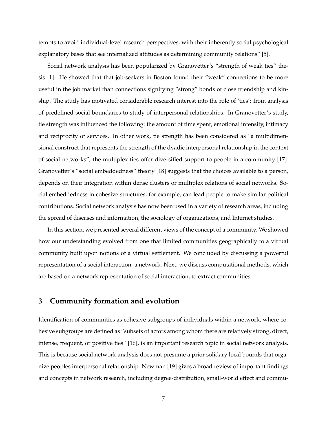tempts to avoid individual-level research perspectives, with their inherently social psychological explanatory bases that see internalized attitudes as determining community relations" [5].

Social network analysis has been popularized by Granovetter's "strength of weak ties" thesis [1]. He showed that that job-seekers in Boston found their "weak" connections to be more useful in the job market than connections signifying "strong" bonds of close friendship and kinship. The study has motivated considerable research interest into the role of 'ties': from analysis of predefined social boundaries to study of interpersonal relationships. In Granovetter's study, tie strength was influenced the following: the amount of time spent, emotional intensity, intimacy and reciprocity of services. In other work, tie strength has been considered as "a multidimensional construct that represents the strength of the dyadic interpersonal relationship in the context of social networks"; the multiplex ties offer diversified support to people in a community [17]. Granovetter's "social embeddedness" theory [18] suggests that the choices available to a person, depends on their integration within dense clusters or multiplex relations of social networks. Social embeddedness in cohesive structures, for example, can lead people to make similar political contributions. Social network analysis has now been used in a variety of research areas, including the spread of diseases and information, the sociology of organizations, and Internet studies.

In this section, we presented several different views of the concept of a community. We showed how our understanding evolved from one that limited communities geographically to a virtual community built upon notions of a virtual settlement. We concluded by discussing a powerful representation of a social interaction: a network. Next, we discuss computational methods, which are based on a network representation of social interaction, to extract communities.

# **3 Community formation and evolution**

Identification of communities as cohesive subgroups of individuals within a network, where cohesive subgroups are defined as "subsets of actors among whom there are relatively strong, direct, intense, frequent, or positive ties" [16], is an important research topic in social network analysis. This is because social network analysis does not presume a prior solidary local bounds that organize peoples interpersonal relationship. Newman [19] gives a broad review of important findings and concepts in network research, including degree-distribution, small-world effect and commu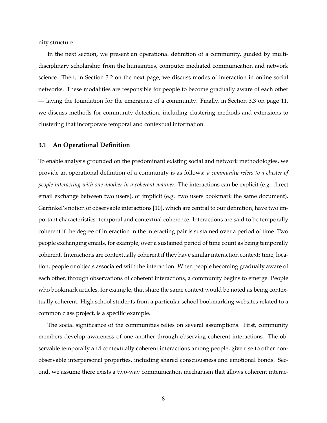nity structure.

In the next section, we present an operational definition of a community, guided by multidisciplinary scholarship from the humanities, computer mediated communication and network science. Then, in Section 3.2 on the next page, we discuss modes of interaction in online social networks. These modalities are responsible for people to become gradually aware of each other — laying the foundation for the emergence of a community. Finally, in Section 3.3 on page 11, we discuss methods for community detection, including clustering methods and extensions to clustering that incorporate temporal and contextual information.

### **3.1 An Operational Definition**

To enable analysis grounded on the predominant existing social and network methodologies, we provide an operational definition of a community is as follows: *a community refers to a cluster of people interacting with one another in a coherent manner.* The interactions can be explicit (e.g. direct email exchange between two users), or implicit (e.g. two users bookmark the same document). Garfinkel's notion of observable interactions [10], which are central to our definition, have two important characteristics: temporal and contextual coherence. Interactions are said to be temporally coherent if the degree of interaction in the interacting pair is sustained over a period of time. Two people exchanging emails, for example, over a sustained period of time count as being temporally coherent. Interactions are contextually coherent if they have similar interaction context: time, location, people or objects associated with the interaction. When people becoming gradually aware of each other, through observations of coherent interactions, a community begins to emerge. People who bookmark articles, for example, that share the same context would be noted as being contextually coherent. High school students from a particular school bookmarking websites related to a common class project, is a specific example.

The social significance of the communities relies on several assumptions. First, community members develop awareness of one another through observing coherent interactions. The observable temporally and contextually coherent interactions among people, give rise to other nonobservable interpersonal properties, including shared consciousness and emotional bonds. Second, we assume there exists a two-way communication mechanism that allows coherent interac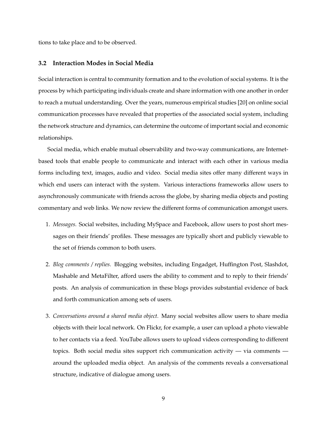tions to take place and to be observed.

## **3.2 Interaction Modes in Social Media**

Social interaction is central to community formation and to the evolution of social systems. It is the process by which participating individuals create and share information with one another in order to reach a mutual understanding. Over the years, numerous empirical studies [20] on online social communication processes have revealed that properties of the associated social system, including the network structure and dynamics, can determine the outcome of important social and economic relationships.

Social media, which enable mutual observability and two-way communications, are Internetbased tools that enable people to communicate and interact with each other in various media forms including text, images, audio and video. Social media sites offer many different ways in which end users can interact with the system. Various interactions frameworks allow users to asynchronously communicate with friends across the globe, by sharing media objects and posting commentary and web links. We now review the different forms of communication amongst users.

- 1. *Messages.* Social websites, including MySpace and Facebook, allow users to post short messages on their friends' profiles. These messages are typically short and publicly viewable to the set of friends common to both users.
- 2. *Blog comments / replies.* Blogging websites, including Engadget, Huffington Post, Slashdot, Mashable and MetaFilter, afford users the ability to comment and to reply to their friends' posts. An analysis of communication in these blogs provides substantial evidence of back and forth communication among sets of users.
- 3. *Conversations around a shared media object.* Many social websites allow users to share media objects with their local network. On Flickr, for example, a user can upload a photo viewable to her contacts via a feed. YouTube allows users to upload videos corresponding to different topics. Both social media sites support rich communication activity  $-$  via comments  $$ around the uploaded media object. An analysis of the comments reveals a conversational structure, indicative of dialogue among users.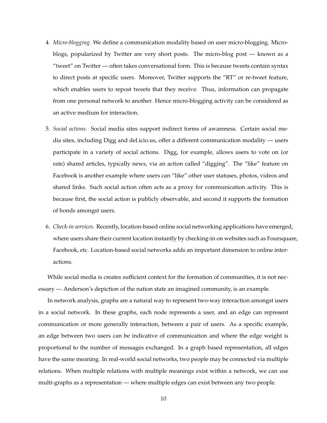- 4. *Micro-blogging.* We define a communication modality based on user micro-blogging. Microblogs, popularized by Twitter are very short posts. The micro-blog post — known as a "tweet" on Twitter — often takes conversational form. This is because tweets contain syntax to direct posts at specific users. Moreover, Twitter supports the "RT" or re-tweet feature, which enables users to repost tweets that they receive. Thus, information can propagate from one personal network to another. Hence micro-blogging activity can be considered as an active medium for interaction.
- 5. *Social actions.* Social media sites support indirect forms of awareness. Certain social media sites, including Digg and del.icio.us, offer a different communication modality — users participate in a variety of social actions. Digg, for example, allows users to vote on (or rate) shared articles, typically news, via an action called "digging". The "like" feature on Facebook is another example where users can "like" other user statuses, photos, videos and shared links. Such social action often acts as a proxy for communication activity. This is because first, the social action is publicly observable, and second it supports the formation of bonds amongst users.
- 6. *Check-in services.* Recently, location-based online social networking applications have emerged, where users share their current location instantly by checking-in on websites such as Foursquare, Facebook, etc. Location-based social networks adds an important dimension to online interactions.

While social media is creates sufficient context for the formation of communities, it is not necessary — Anderson's depiction of the nation state an imagined community, is an example.

In network analysis, graphs are a natural way to represent two-way interaction amongst users in a social network. In these graphs, each node represents a user, and an edge can represent communication or more generally interaction, between a pair of users. As a specific example, an edge between two users can be indicative of communication and where the edge weight is proportional to the number of messages exchanged. In a graph based representation, all edges have the same meaning. In real-world social networks, two people may be connected via multiple relations. When multiple relations with multiple meanings exist within a network, we can use multi-graphs as a representation — where multiple edges can exist between any two people.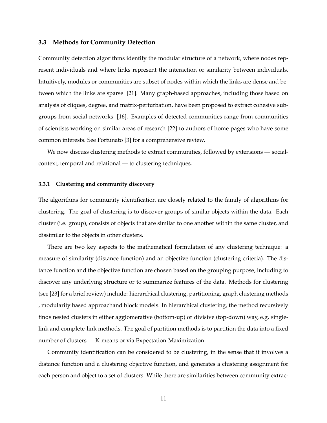### **3.3 Methods for Community Detection**

Community detection algorithms identify the modular structure of a network, where nodes represent individuals and where links represent the interaction or similarity between individuals. Intuitively, modules or communities are subset of nodes within which the links are dense and between which the links are sparse [21]. Many graph-based approaches, including those based on analysis of cliques, degree, and matrix-perturbation, have been proposed to extract cohesive subgroups from social networks [16]. Examples of detected communities range from communities of scientists working on similar areas of research [22] to authors of home pages who have some common interests. See Fortunato [3] for a comprehensive review.

We now discuss clustering methods to extract communities, followed by extensions — socialcontext, temporal and relational — to clustering techniques.

### **3.3.1 Clustering and community discovery**

The algorithms for community identification are closely related to the family of algorithms for clustering. The goal of clustering is to discover groups of similar objects within the data. Each cluster (i.e. group), consists of objects that are similar to one another within the same cluster, and dissimilar to the objects in other clusters.

There are two key aspects to the mathematical formulation of any clustering technique: a measure of similarity (distance function) and an objective function (clustering criteria). The distance function and the objective function are chosen based on the grouping purpose, including to discover any underlying structure or to summarize features of the data. Methods for clustering (see [23] for a brief review) include: hierarchical clustering, partitioning, graph clustering methods , modularity based approachand block models. In hierarchical clustering, the method recursively finds nested clusters in either agglomerative (bottom-up) or divisive (top-down) way, e.g. singlelink and complete-link methods. The goal of partition methods is to partition the data into a fixed number of clusters — K-means or via Expectation-Maximization.

Community identification can be considered to be clustering, in the sense that it involves a distance function and a clustering objective function, and generates a clustering assignment for each person and object to a set of clusters. While there are similarities between community extrac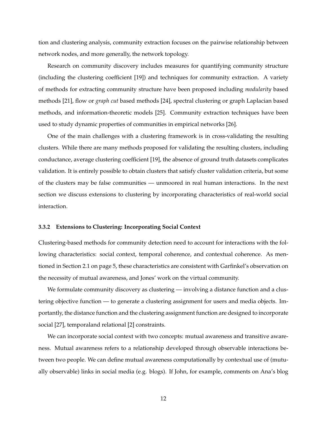tion and clustering analysis, community extraction focuses on the pairwise relationship between network nodes, and more generally, the network topology.

Research on community discovery includes measures for quantifying community structure (including the clustering coefficient [19]) and techniques for community extraction. A variety of methods for extracting community structure have been proposed including *modularity* based methods [21], flow or *graph cut* based methods [24], spectral clustering or graph Laplacian based methods, and information-theoretic models [25]. Community extraction techniques have been used to study dynamic properties of communities in empirical networks [26].

One of the main challenges with a clustering framework is in cross-validating the resulting clusters. While there are many methods proposed for validating the resulting clusters, including conductance, average clustering coefficient [19], the absence of ground truth datasets complicates validation. It is entirely possible to obtain clusters that satisfy cluster validation criteria, but some of the clusters may be false communities — unmoored in real human interactions. In the next section we discuss extensions to clustering by incorporating characteristics of real-world social interaction.

### **3.3.2 Extensions to Clustering: Incorporating Social Context**

Clustering-based methods for community detection need to account for interactions with the following characteristics: social context, temporal coherence, and contextual coherence. As mentioned in Section 2.1 on page 5, these characteristics are consistent with Garfinkel's observation on the necessity of mutual awareness, and Jones' work on the virtual community.

We formulate community discovery as clustering — involving a distance function and a clustering objective function — to generate a clustering assignment for users and media objects. Importantly, the distance function and the clustering assignment function are designed to incorporate social [27], temporaland relational [2] constraints.

We can incorporate social context with two concepts: mutual awareness and transitive awareness. Mutual awareness refers to a relationship developed through observable interactions between two people. We can define mutual awareness computationally by contextual use of (mutually observable) links in social media (e.g. blogs). If John, for example, comments on Ana's blog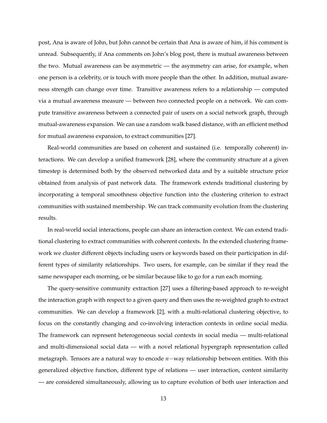post, Ana is aware of John, but John cannot be certain that Ana is aware of him, if his comment is unread. Subsequently, if Ana comments on John's blog post, there is mutual awareness between the two. Mutual awareness can be asymmetric — the asymmetry can arise, for example, when one person is a celebrity, or is touch with more people than the other. In addition, mutual awareness strength can change over time. Transitive awareness refers to a relationship — computed via a mutual awareness measure — between two connected people on a network. We can compute transitive awareness between a connected pair of users on a social network graph, through mutual-awareness expansion. We can use a random walk based distance, with an efficient method for mutual awareness expansion, to extract communities [27].

Real-world communities are based on coherent and sustained (i.e. temporally coherent) interactions. We can develop a unified framework [28], where the community structure at a given timestep is determined both by the observed networked data and by a suitable structure prior obtained from analysis of past network data. The framework extends traditional clustering by incorporating a temporal smoothness objective function into the clustering criterion to extract communities with sustained membership. We can track community evolution from the clustering results.

In real-world social interactions, people can share an interaction context. We can extend traditional clustering to extract communities with coherent contexts. In the extended clustering framework we cluster different objects including users or keywords based on their participation in different types of similarity relationships. Two users, for example, can be similar if they read the same newspaper each morning, or be similar because like to go for a run each morning.

The query-sensitive community extraction [27] uses a filtering-based approach to re-weight the interaction graph with respect to a given query and then uses the re-weighted graph to extract communities. We can develop a framework [2], with a multi-relational clustering objective, to focus on the constantly changing and co-involving interaction contexts in online social media. The framework can represent heterogeneous social contexts in social media — multi-relational and multi-dimensional social data — with a novel relational hypergraph representation called metagraph. Tensors are a natural way to encode *n*−way relationship between entities. With this generalized objective function, different type of relations — user interaction, content similarity — are considered simultaneously, allowing us to capture evolution of both user interaction and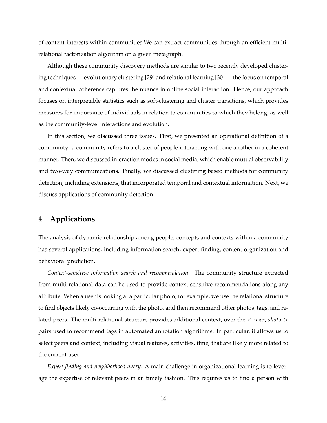of content interests within communities.We can extract communities through an efficient multirelational factorization algorithm on a given metagraph.

Although these community discovery methods are similar to two recently developed clustering techniques — evolutionary clustering [29] and relational learning [30] — the focus on temporal and contextual coherence captures the nuance in online social interaction. Hence, our approach focuses on interpretable statistics such as soft-clustering and cluster transitions, which provides measures for importance of individuals in relation to communities to which they belong, as well as the community-level interactions and evolution.

In this section, we discussed three issues. First, we presented an operational definition of a community: a community refers to a cluster of people interacting with one another in a coherent manner. Then, we discussed interaction modes in social media, which enable mutual observability and two-way communications. Finally, we discussed clustering based methods for community detection, including extensions, that incorporated temporal and contextual information. Next, we discuss applications of community detection.

# **4 Applications**

The analysis of dynamic relationship among people, concepts and contexts within a community has several applications, including information search, expert finding, content organization and behavioral prediction.

*Context-sensitive information search and recommendation.* The community structure extracted from multi-relational data can be used to provide context-sensitive recommendations along any attribute. When a user is looking at a particular photo, for example, we use the relational structure to find objects likely co-occurring with the photo, and then recommend other photos, tags, and related peers. The multi-relational structure provides additional context, over the < *user*, *photo* > pairs used to recommend tags in automated annotation algorithms. In particular, it allows us to select peers and context, including visual features, activities, time, that are likely more related to the current user.

*Expert finding and neighborhood query.* A main challenge in organizational learning is to leverage the expertise of relevant peers in an timely fashion. This requires us to find a person with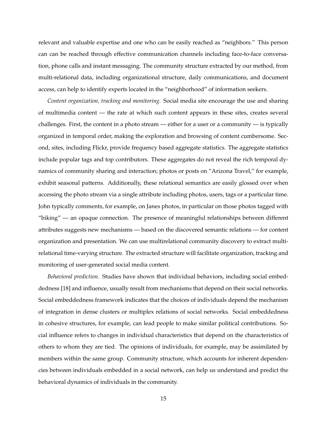relevant and valuable expertise and one who can be easily reached as "neighbors." This person can can be reached through effective communication channels including face-to-face conversation, phone calls and instant messaging. The community structure extracted by our method, from multi-relational data, including organizational structure, daily communications, and document access, can help to identify experts located in the "neighborhood" of information seekers.

*Content organization, tracking and monitoring.* Social media site encourage the use and sharing of multimedia content — the rate at which such content appears in these sites, creates several challenges. First, the content in a photo stream — either for a user or a community — is typically organized in temporal order, making the exploration and browsing of content cumbersome. Second, sites, including Flickr, provide frequency based aggregate statistics. The aggregate statistics include popular tags and top contributors. These aggregates do not reveal the rich temporal dynamics of community sharing and interaction; photos or posts on "Arizona Travel," for example, exhibit seasonal patterns. Additionally, these relational semantics are easily glossed over when accessing the photo stream via a single attribute including photos, users, tags or a particular time. John typically comments, for example, on Janes photos, in particular on those photos tagged with "biking" — an opaque connection. The presence of meaningful relationships between different attributes suggests new mechanisms — based on the discovered semantic relations — for content organization and presentation. We can use multirelational community discovery to extract multirelational time-varying structure. The extracted structure will facilitate organization, tracking and monitoring of user-generated social media content.

*Behavioral prediction.* Studies have shown that individual behaviors, including social embeddedness [18] and influence, usually result from mechanisms that depend on their social networks. Social embeddedness framework indicates that the choices of individuals depend the mechanism of integration in dense clusters or multiplex relations of social networks. Social embeddedness in cohesive structures, for example, can lead people to make similar political contributions. Social influence refers to changes in individual characteristics that depend on the characteristics of others to whom they are tied. The opinions of individuals, for example, may be assimilated by members within the same group. Community structure, which accounts for inherent dependencies between individuals embedded in a social network, can help us understand and predict the behavioral dynamics of individuals in the community.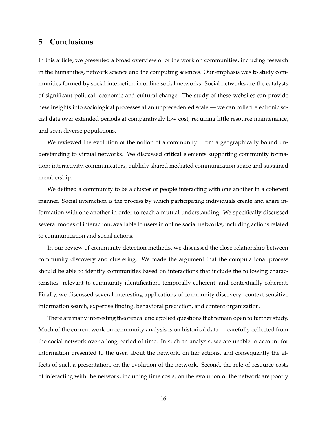# **5 Conclusions**

In this article, we presented a broad overview of of the work on communities, including research in the humanities, network science and the computing sciences. Our emphasis was to study communities formed by social interaction in online social networks. Social networks are the catalysts of significant political, economic and cultural change. The study of these websites can provide new insights into sociological processes at an unprecedented scale — we can collect electronic social data over extended periods at comparatively low cost, requiring little resource maintenance, and span diverse populations.

We reviewed the evolution of the notion of a community: from a geographically bound understanding to virtual networks. We discussed critical elements supporting community formation: interactivity, communicators, publicly shared mediated communication space and sustained membership.

We defined a community to be a cluster of people interacting with one another in a coherent manner. Social interaction is the process by which participating individuals create and share information with one another in order to reach a mutual understanding. We specifically discussed several modes of interaction, available to users in online social networks, including actions related to communication and social actions.

In our review of community detection methods, we discussed the close relationship between community discovery and clustering. We made the argument that the computational process should be able to identify communities based on interactions that include the following characteristics: relevant to community identification, temporally coherent, and contextually coherent. Finally, we discussed several interesting applications of community discovery: context sensitive information search, expertise finding, behavioral prediction, and content organization.

There are many interesting theoretical and applied questions that remain open to further study. Much of the current work on community analysis is on historical data — carefully collected from the social network over a long period of time. In such an analysis, we are unable to account for information presented to the user, about the network, on her actions, and consequently the effects of such a presentation, on the evolution of the network. Second, the role of resource costs of interacting with the network, including time costs, on the evolution of the network are poorly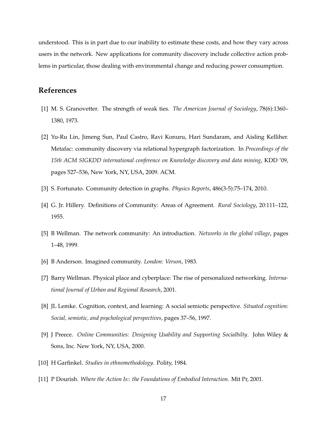understood. This is in part due to our inability to estimate these costs, and how they vary across users in the network. New applications for community discovery include collective action problems in particular, those dealing with environmental change and reducing power consumption.

# **References**

- [1] M. S. Granovetter. The strength of weak ties. *The American Journal of Sociology*, 78(6):1360– 1380, 1973.
- [2] Yu-Ru Lin, Jimeng Sun, Paul Castro, Ravi Konuru, Hari Sundaram, and Aisling Kelliher. Metafac: community discovery via relational hypergraph factorization. In *Proceedings of the 15th ACM SIGKDD international conference on Knowledge discovery and data mining*, KDD '09, pages 527–536, New York, NY, USA, 2009. ACM.
- [3] S. Fortunato. Community detection in graphs. *Physics Reports*, 486(3-5):75–174, 2010.
- [4] G. Jr. Hillery. Definitions of Community: Areas of Agreement. *Rural Sociology*, 20:111–122, 1955.
- [5] B Wellman. The network community: An introduction. *Networks in the global village*, pages 1–48, 1999.
- [6] B Anderson. Imagined community. *London: Verson*, 1983.
- [7] Barry Wellman. Physical place and cyberplace: The rise of personalized networking. *International Journal of Urban and Regional Research*, 2001.
- [8] JL Lemke. Cognition, context, and learning: A social semiotic perspective. *Situated cognition: Social, semiotic, and psychological perspectives*, pages 37–56, 1997.
- [9] J Preece. *Online Communities: Designing Usability and Supporting Socialbilty*. John Wiley & Sons, Inc. New York, NY, USA, 2000.
- [10] H Garfinkel. *Studies in ethnomethodology*. Polity, 1984.
- [11] P Dourish. *Where the Action Is:: the Foundations of Embodied Interaction*. Mit Pr, 2001.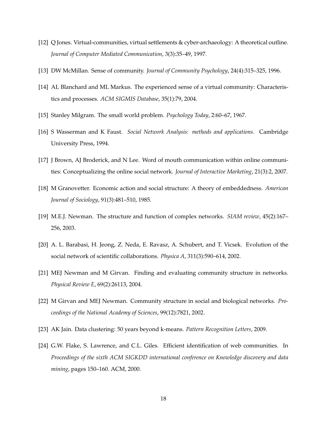- [12] Q Jones. Virtual-communities, virtual settlements & cyber-archaeology: A theoretical outline. *Journal of Computer Mediated Communication*, 3(3):35–49, 1997.
- [13] DW McMillan. Sense of community. *Journal of Community Psychology*, 24(4):315–325, 1996.
- [14] AL Blanchard and ML Markus. The experienced sense of a virtual community: Characteristics and processes. *ACM SIGMIS Database*, 35(1):79, 2004.
- [15] Stanley Milgram. The small world problem. *Psychology Today*, 2:60–67, 1967.
- [16] S Wasserman and K Faust. *Social Network Analysis: methods and applications*. Cambridge University Press, 1994.
- [17] J Brown, AJ Broderick, and N Lee. Word of mouth communication within online communities: Conceptualizing the online social network. *Journal of Interactive Marketing*, 21(3):2, 2007.
- [18] M Granovetter. Economic action and social structure: A theory of embeddedness. *American Journal of Sociology*, 91(3):481–510, 1985.
- [19] M.E.J. Newman. The structure and function of complex networks. *SIAM review*, 45(2):167– 256, 2003.
- [20] A. L. Barabasi, H. Jeong, Z. Neda, E. Ravasz, A. Schubert, and T. Vicsek. Evolution of the social network of scientific collaborations. *Physica A*, 311(3):590–614, 2002.
- [21] MEJ Newman and M Girvan. Finding and evaluating community structure in networks. *Physical Review E*, 69(2):26113, 2004.
- [22] M Girvan and MEJ Newman. Community structure in social and biological networks. *Proceedings of the National Academy of Sciences*, 99(12):7821, 2002.
- [23] AK Jain. Data clustering: 50 years beyond k-means. *Pattern Recognition Letters*, 2009.
- [24] G.W. Flake, S. Lawrence, and C.L. Giles. Efficient identification of web communities. In *Proceedings of the sixth ACM SIGKDD international conference on Knowledge discovery and data mining*, pages 150–160. ACM, 2000.